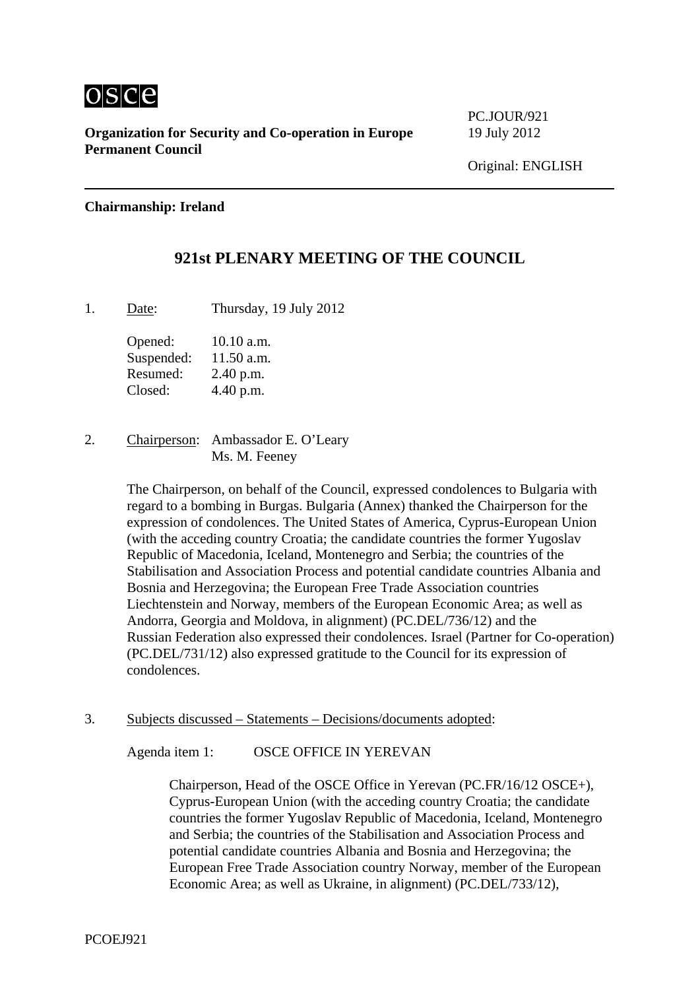

**Organization for Security and Co-operation in Europe** 19 July 2012 **Permanent Council** 

PC.JOUR/921

## **Chairmanship: Ireland**

## **921st PLENARY MEETING OF THE COUNCIL**

1. Date: Thursday, 19 July 2012

Opened: 10.10 a.m. Suspended: 11.50 a.m. Resumed: 2.40 p.m. Closed: 4.40 p.m.

2. Chairperson: Ambassador E. O'Leary Ms. M. Feeney

> The Chairperson, on behalf of the Council, expressed condolences to Bulgaria with regard to a bombing in Burgas. Bulgaria (Annex) thanked the Chairperson for the expression of condolences. The United States of America, Cyprus-European Union (with the acceding country Croatia; the candidate countries the former Yugoslav Republic of Macedonia, Iceland, Montenegro and Serbia; the countries of the Stabilisation and Association Process and potential candidate countries Albania and Bosnia and Herzegovina; the European Free Trade Association countries Liechtenstein and Norway, members of the European Economic Area; as well as Andorra, Georgia and Moldova, in alignment) (PC.DEL/736/12) and the Russian Federation also expressed their condolences. Israel (Partner for Co-operation) (PC.DEL/731/12) also expressed gratitude to the Council for its expression of condolences.

3. Subjects discussed – Statements – Decisions/documents adopted:

Agenda item 1: OSCE OFFICE IN YEREVAN

Chairperson, Head of the OSCE Office in Yerevan (PC.FR/16/12 OSCE+), Cyprus-European Union (with the acceding country Croatia; the candidate countries the former Yugoslav Republic of Macedonia, Iceland, Montenegro and Serbia; the countries of the Stabilisation and Association Process and potential candidate countries Albania and Bosnia and Herzegovina; the European Free Trade Association country Norway, member of the European Economic Area; as well as Ukraine, in alignment) (PC.DEL/733/12),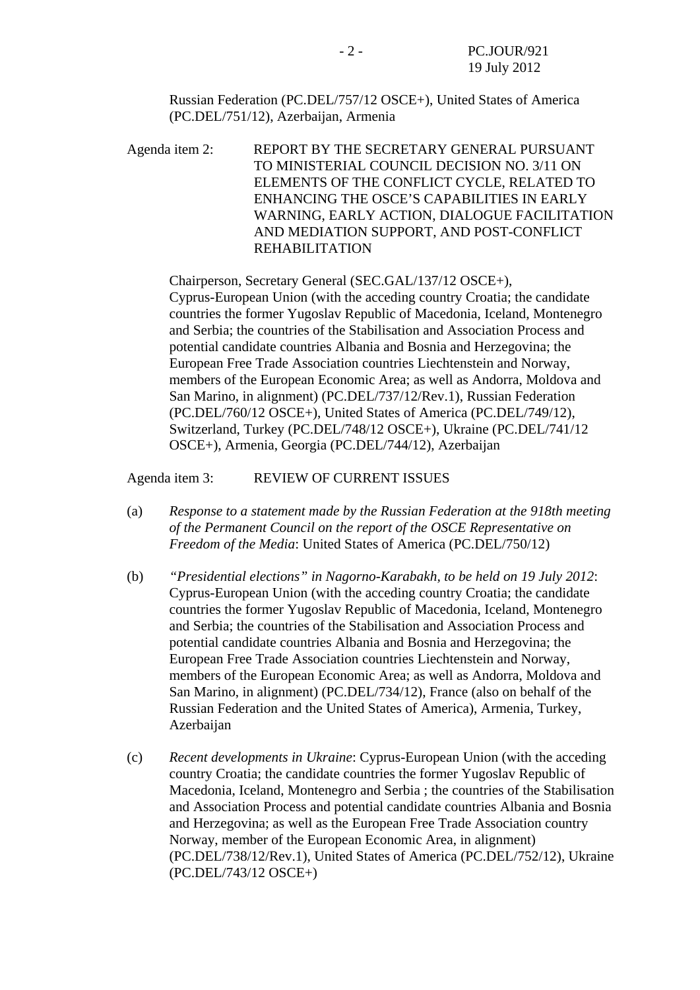Russian Federation (PC.DEL/757/12 OSCE+), United States of America (PC.DEL/751/12), Azerbaijan, Armenia

Agenda item 2: REPORT BY THE SECRETARY GENERAL PURSUANT TO MINISTERIAL COUNCIL DECISION NO. 3/11 ON ELEMENTS OF THE CONFLICT CYCLE, RELATED TO ENHANCING THE OSCE'S CAPABILITIES IN EARLY WARNING, EARLY ACTION, DIALOGUE FACILITATION AND MEDIATION SUPPORT, AND POST-CONFLICT REHABILITATION

Chairperson, Secretary General (SEC.GAL/137/12 OSCE+), Cyprus-European Union (with the acceding country Croatia; the candidate countries the former Yugoslav Republic of Macedonia, Iceland, Montenegro and Serbia; the countries of the Stabilisation and Association Process and potential candidate countries Albania and Bosnia and Herzegovina; the European Free Trade Association countries Liechtenstein and Norway, members of the European Economic Area; as well as Andorra, Moldova and San Marino, in alignment) (PC.DEL/737/12/Rev.1), Russian Federation (PC.DEL/760/12 OSCE+), United States of America (PC.DEL/749/12), Switzerland, Turkey (PC.DEL/748/12 OSCE+), Ukraine (PC.DEL/741/12 OSCE+), Armenia, Georgia (PC.DEL/744/12), Azerbaijan

Agenda item 3: REVIEW OF CURRENT ISSUES

- (a) *Response to a statement made by the Russian Federation at the 918th meeting of the Permanent Council on the report of the OSCE Representative on Freedom of the Media*: United States of America (PC.DEL/750/12)
- (b) *"Presidential elections" in Nagorno-Karabakh, to be held on 19 July 2012*: Cyprus-European Union (with the acceding country Croatia; the candidate countries the former Yugoslav Republic of Macedonia, Iceland, Montenegro and Serbia; the countries of the Stabilisation and Association Process and potential candidate countries Albania and Bosnia and Herzegovina; the European Free Trade Association countries Liechtenstein and Norway, members of the European Economic Area; as well as Andorra, Moldova and San Marino, in alignment) (PC.DEL/734/12), France (also on behalf of the Russian Federation and the United States of America), Armenia, Turkey, Azerbaijan
- (c) *Recent developments in Ukraine*: Cyprus-European Union (with the acceding country Croatia; the candidate countries the former Yugoslav Republic of Macedonia, Iceland, Montenegro and Serbia ; the countries of the Stabilisation and Association Process and potential candidate countries Albania and Bosnia and Herzegovina; as well as the European Free Trade Association country Norway, member of the European Economic Area, in alignment) (PC.DEL/738/12/Rev.1), United States of America (PC.DEL/752/12), Ukraine (PC.DEL/743/12 OSCE+)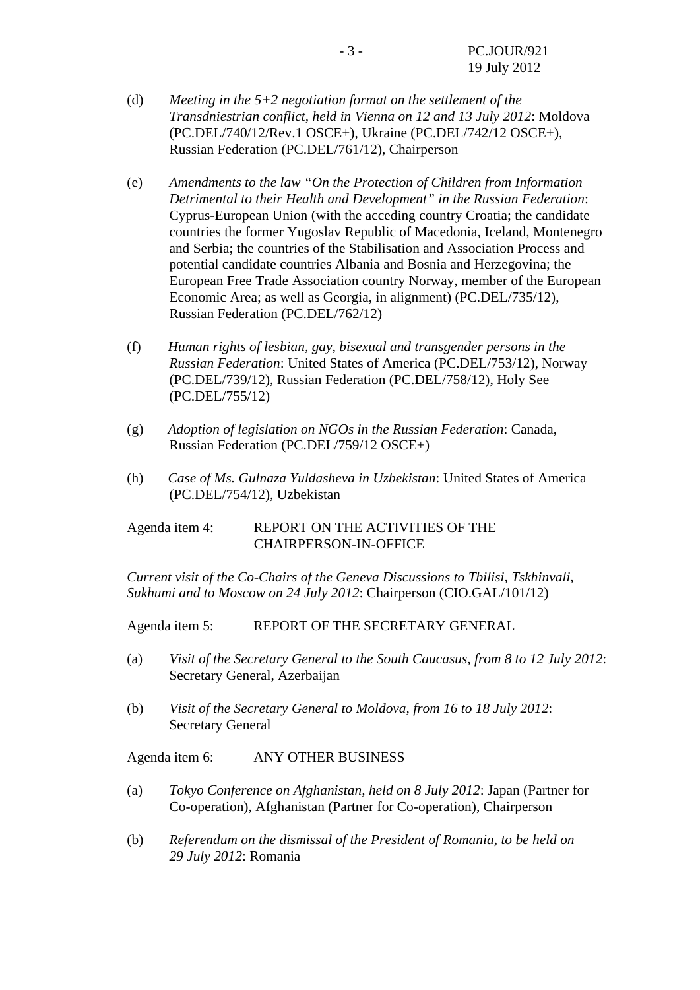- (d) *Meeting in the 5+2 negotiation format on the settlement of the Transdniestrian conflict, held in Vienna on 12 and 13 July 2012*: Moldova (PC.DEL/740/12/Rev.1 OSCE+), Ukraine (PC.DEL/742/12 OSCE+), Russian Federation (PC.DEL/761/12), Chairperson
- (e) *Amendments to the law "On the Protection of Children from Information Detrimental to their Health and Development" in the Russian Federation*: Cyprus-European Union (with the acceding country Croatia; the candidate countries the former Yugoslav Republic of Macedonia, Iceland, Montenegro and Serbia; the countries of the Stabilisation and Association Process and potential candidate countries Albania and Bosnia and Herzegovina; the European Free Trade Association country Norway, member of the European Economic Area; as well as Georgia, in alignment) (PC.DEL/735/12), Russian Federation (PC.DEL/762/12)
- (f) *Human rights of lesbian, gay, bisexual and transgender persons in the Russian Federation*: United States of America (PC.DEL/753/12), Norway (PC.DEL/739/12), Russian Federation (PC.DEL/758/12), Holy See (PC.DEL/755/12)
- (g) *Adoption of legislation on NGOs in the Russian Federation*: Canada, Russian Federation (PC.DEL/759/12 OSCE+)
- (h) *Case of Ms. Gulnaza Yuldasheva in Uzbekistan*: United States of America (PC.DEL/754/12), Uzbekistan

## Agenda item 4: REPORT ON THE ACTIVITIES OF THE CHAIRPERSON-IN-OFFICE

*Current visit of the Co-Chairs of the Geneva Discussions to Tbilisi, Tskhinvali, Sukhumi and to Moscow on 24 July 2012*: Chairperson (CIO.GAL/101/12)

Agenda item 5: REPORT OF THE SECRETARY GENERAL

- (a) *Visit of the Secretary General to the South Caucasus, from 8 to 12 July 2012*: Secretary General, Azerbaijan
- (b) *Visit of the Secretary General to Moldova, from 16 to 18 July 2012*: Secretary General

Agenda item 6: ANY OTHER BUSINESS

- (a) *Tokyo Conference on Afghanistan, held on 8 July 2012*: Japan (Partner for Co-operation), Afghanistan (Partner for Co-operation), Chairperson
- (b) *Referendum on the dismissal of the President of Romania, to be held on 29 July 2012*: Romania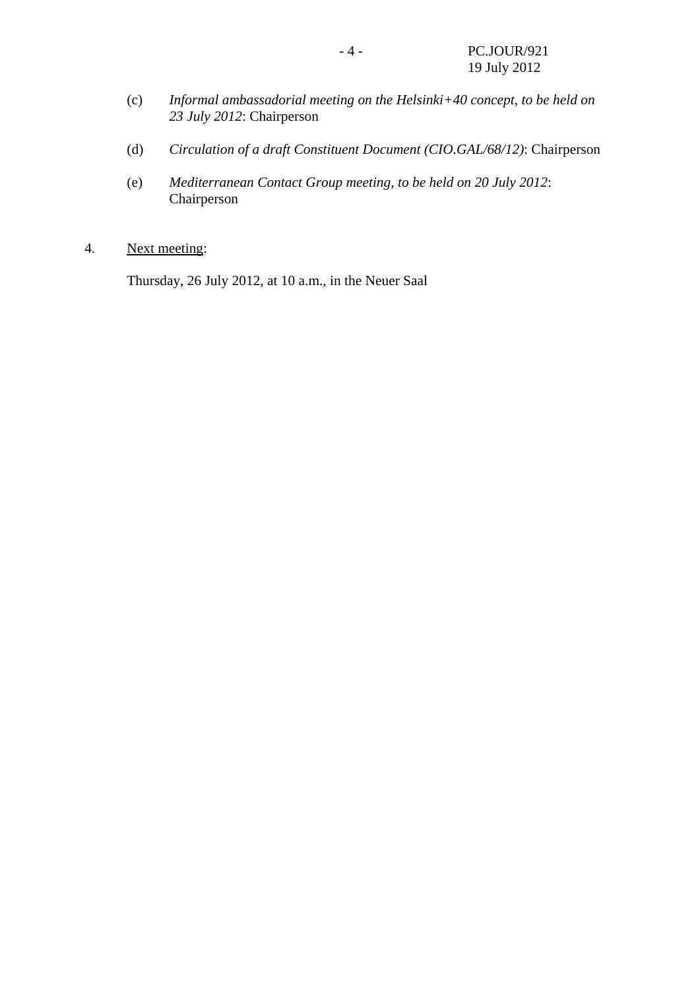- (c) *Informal ambassadorial meeting on the Helsinki+40 concept, to be held on 23 July 2012*: Chairperson
- (d) *Circulation of a draft Constituent Document (CIO.GAL/68/12)*: Chairperson
- (e) *Mediterranean Contact Group meeting, to be held on 20 July 2012*: Chairperson
- 4. Next meeting:

Thursday, 26 July 2012, at 10 a.m., in the Neuer Saal